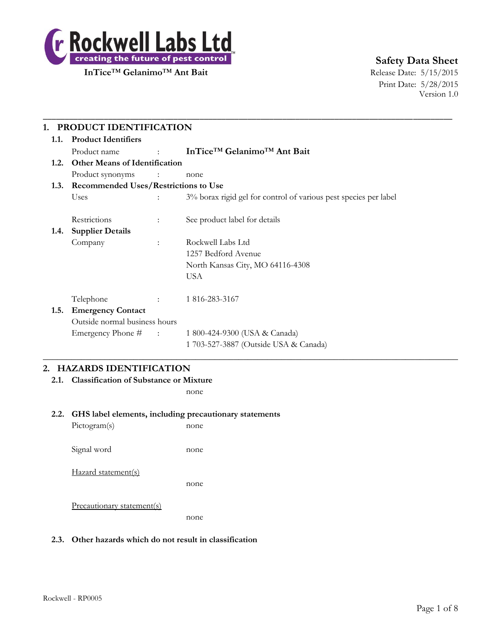

**InTice<sup>™</sup> Gelanimo<sup>™</sup> Ant Bait** Release Date: 5/15/2015

# **Safety Data Sheet**

Print Date: 5/28/2015 Version 1.0

| 1.1. | <b>Product Identifiers</b>                  |                             |                                                                  |  |  |
|------|---------------------------------------------|-----------------------------|------------------------------------------------------------------|--|--|
|      | Product name                                | <b>Contract Contract</b>    | InTice <sup>TM</sup> Gelanimo <sup>TM</sup> Ant Bait             |  |  |
| 1.2. | <b>Other Means of Identification</b>        |                             |                                                                  |  |  |
|      | Product synonyms                            | $\sim$ $\sim$ $\sim$ $\sim$ | none                                                             |  |  |
| 1.3. | <b>Recommended Uses/Restrictions to Use</b> |                             |                                                                  |  |  |
|      | <b>Uses</b>                                 |                             | 3% borax rigid gel for control of various pest species per label |  |  |
|      | Restrictions                                | $\ddot{\phantom{a}}$        | See product label for details                                    |  |  |
| 1.4. | <b>Supplier Details</b>                     |                             |                                                                  |  |  |
|      | Company                                     | $\mathbb{R}^{\mathbb{Z}}$   | Rockwell Labs Ltd                                                |  |  |
|      |                                             |                             | 1257 Bedford Avenue                                              |  |  |
|      |                                             |                             | North Kansas City, MO 64116-4308                                 |  |  |
|      |                                             |                             | <b>USA</b>                                                       |  |  |
|      | Telephone                                   | <b>State State</b>          | 1 816-283-3167                                                   |  |  |
| 1.5. | <b>Emergency Contact</b>                    |                             |                                                                  |  |  |
|      | Outside normal business hours               |                             |                                                                  |  |  |
|      | Emergency Phone # :                         |                             | 1 800-424-9300 (USA & Canada)                                    |  |  |
|      |                                             |                             | 1 703-527-3887 (Outside USA & Canada)                            |  |  |

# **2. HAZARDS IDENTIFICATION**

**2.1. Classification of Substance or Mixture**

none

#### **2.2. GHS label elements, including precautionary statements**

| Pictogram(s)               | none |
|----------------------------|------|
| Signal word                | none |
| Hazard statement(s)        | none |
| Precautionary statement(s) | none |

### **2.3. Other hazards which do not result in classification**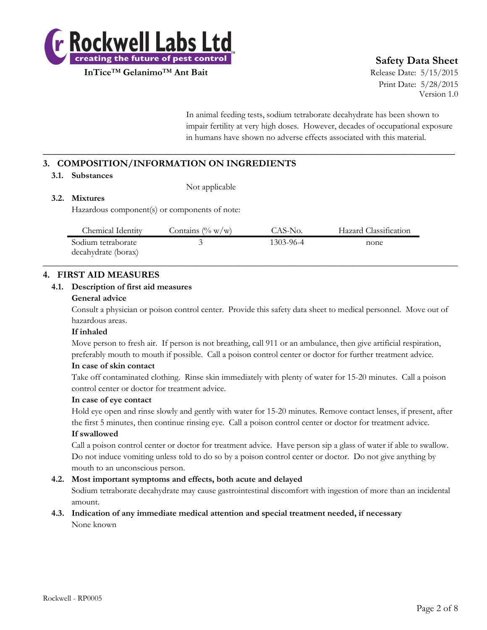

**InTice™ Gelanimo™ Ant Bait** Ant **Bait** Release Date: 5/15/2015

# **Safety Data Sheet**

Print Date: 5/28/2015 Version 1.0

In animal feeding tests, sodium tetraborate decahydrate has been shown to impair fertility at very high doses. However, decades of occupational exposure in humans have shown no adverse effects associated with this material.

# **3. COMPOSITION/INFORMATION ON INGREDIENTS**

#### **3.1. Substances**

Not applicable

## **3.2. Mixtures**

Hazardous component(s) or components of note:

| Chemical Identity                         | Contains $(\% w/w)$ | CAS-No.   | Hazard Classification |
|-------------------------------------------|---------------------|-----------|-----------------------|
| Sodium tetraborate<br>decahydrate (borax) |                     | 1303-96-4 | none                  |

**\_\_\_\_\_\_\_\_\_\_\_\_\_\_\_\_\_\_\_\_\_\_\_\_\_\_\_\_\_\_\_\_\_\_\_\_\_\_\_\_\_\_\_\_\_\_\_\_\_\_\_\_\_\_\_\_\_\_\_\_\_\_\_\_\_\_\_\_\_\_\_\_\_\_**

# **4. FIRST AID MEASURES**

#### **4.1. Description of first aid measures**

#### **General advice**

Consult a physician or poison control center. Provide this safety data sheet to medical personnel. Move out of hazardous areas.

#### **If inhaled**

Move person to fresh air. If person is not breathing, call 911 or an ambulance, then give artificial respiration, preferably mouth to mouth if possible. Call a poison control center or doctor for further treatment advice.

### **In case of skin contact**

Take off contaminated clothing. Rinse skin immediately with plenty of water for 15-20 minutes. Call a poison control center or doctor for treatment advice.

#### **In case of eye contact**

Hold eye open and rinse slowly and gently with water for 15-20 minutes. Remove contact lenses, if present, after the first 5 minutes, then continue rinsing eye. Call a poison control center or doctor for treatment advice.

#### **If swallowed**

Call a poison control center or doctor for treatment advice. Have person sip a glass of water if able to swallow. Do not induce vomiting unless told to do so by a poison control center or doctor. Do not give anything by mouth to an unconscious person.

### **4.2. Most important symptoms and effects, both acute and delayed**

Sodium tetraborate decahydrate may cause gastrointestinal discomfort with ingestion of more than an incidental amount.

#### **4.3. Indication of any immediate medical attention and special treatment needed, if necessary** None known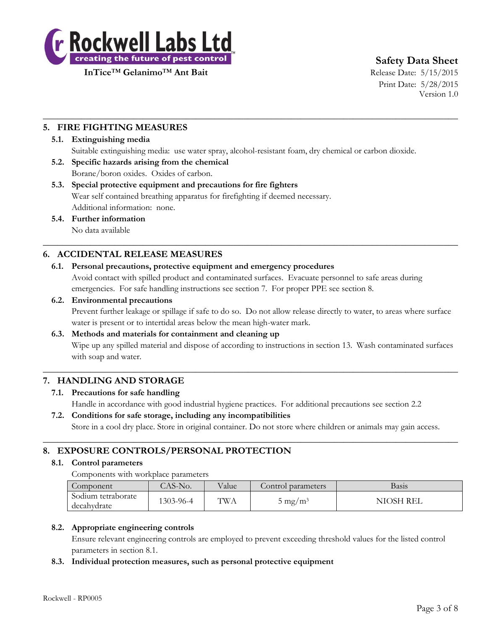

**InTice**™ **Gelanimo**™ **Ant Bait** Release Date: 5/15/2015

# **Safety Data Sheet**

Print Date: 5/28/2015 Version 1.0

# **5. FIRE FIGHTING MEASURES**

#### **5.1. Extinguishing media**

Suitable extinguishing media: use water spray, alcohol-resistant foam, dry chemical or carbon dioxide.

 $\_$  , and the set of the set of the set of the set of the set of the set of the set of the set of the set of the set of the set of the set of the set of the set of the set of the set of the set of the set of the set of th

- **5.2. Specific hazards arising from the chemical** Borane/boron oxides. Oxides of carbon.
- **5.3. Special protective equipment and precautions for fire fighters** Wear self contained breathing apparatus for firefighting if deemed necessary. Additional information: none.
- **5.4. Further information** No data available

# **6. ACCIDENTAL RELEASE MEASURES**

#### **6.1. Personal precautions, protective equipment and emergency procedures**

Avoid contact with spilled product and contaminated surfaces. Evacuate personnel to safe areas during emergencies. For safe handling instructions see section 7. For proper PPE see section 8.

 $\_$  , and the set of the set of the set of the set of the set of the set of the set of the set of the set of the set of the set of the set of the set of the set of the set of the set of the set of the set of the set of th

#### **6.2. Environmental precautions**

Prevent further leakage or spillage if safe to do so. Do not allow release directly to water, to areas where surface water is present or to intertidal areas below the mean high-water mark.

#### **6.3. Methods and materials for containment and cleaning up**

Wipe up any spilled material and dispose of according to instructions in section 13. Wash contaminated surfaces with soap and water.

# **7. HANDLING AND STORAGE**

#### **7.1. Precautions for safe handling**

Handle in accordance with good industrial hygiene practices. For additional precautions see section 2.2

 $\_$  , and the set of the set of the set of the set of the set of the set of the set of the set of the set of the set of the set of the set of the set of the set of the set of the set of the set of the set of the set of th

# **7.2. Conditions for safe storage, including any incompatibilities**

Store in a cool dry place. Store in original container. Do not store where children or animals may gain access.

 $\_$  , and the set of the set of the set of the set of the set of the set of the set of the set of the set of the set of the set of the set of the set of the set of the set of the set of the set of the set of the set of th

# **8. EXPOSURE CONTROLS/PERSONAL PROTECTION**

#### **8.1. Control parameters**

Components with workplace parameters

| Component                         | $CAS-No.$ | Value      | Control parameters | Basis          |
|-----------------------------------|-----------|------------|--------------------|----------------|
| Sodium tetraborate<br>decahydrate | 1303-96-4 | <b>TWA</b> | $5 \text{ mg/m}^3$ | NIOSH<br>` REL |

### **8.2. Appropriate engineering controls**

Ensure relevant engineering controls are employed to prevent exceeding threshold values for the listed control parameters in section 8.1.

#### **8.3. Individual protection measures, such as personal protective equipment**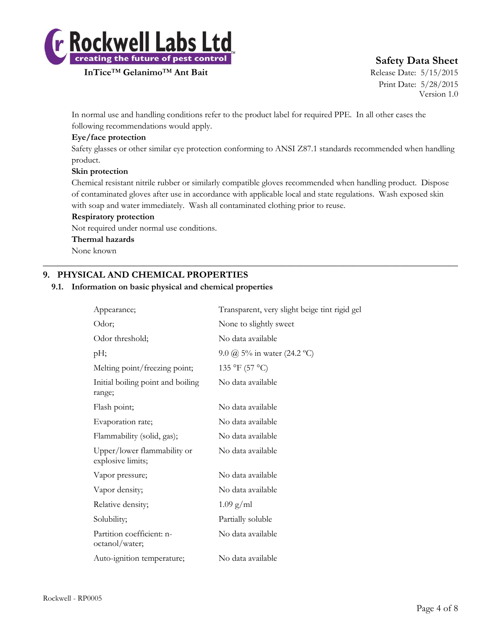

# **InTice<sup>™</sup> Gelanimo<sup>™</sup> Ant Bait** Ant Bait Release Date: 5/15/2015

# **Safety Data Sheet**

Print Date: 5/28/2015 Version 1.0

In normal use and handling conditions refer to the product label for required PPE. In all other cases the following recommendations would apply.

### **Eye/face protection**

Safety glasses or other similar eye protection conforming to ANSI Z87.1 standards recommended when handling product.

### **Skin protection**

Chemical resistant nitrile rubber or similarly compatible gloves recommended when handling product. Dispose of contaminated gloves after use in accordance with applicable local and state regulations. Wash exposed skin with soap and water immediately. Wash all contaminated clothing prior to reuse.

 $\_$  , and the set of the set of the set of the set of the set of the set of the set of the set of the set of the set of the set of the set of the set of the set of the set of the set of the set of the set of the set of th

#### **Respiratory protection**

Not required under normal use conditions.

#### **Thermal hazards**

None known

# **9. PHYSICAL AND CHEMICAL PROPERTIES**

#### **9.1. Information on basic physical and chemical properties**

| Appearance;                                      | Transparent, very slight beige tint rigid gel |
|--------------------------------------------------|-----------------------------------------------|
| Odor;                                            | None to slightly sweet                        |
| Odor threshold;                                  | No data available                             |
| pH;                                              | 9.0 $\omega$ 5% in water (24.2 °C)            |
| Melting point/freezing point;                    | 135 °F (57 °C)                                |
| Initial boiling point and boiling<br>range;      | No data available                             |
| Flash point;                                     | No data available                             |
| Evaporation rate;                                | No data available                             |
| Flammability (solid, gas);                       | No data available                             |
| Upper/lower flammability or<br>explosive limits; | No data available                             |
| Vapor pressure;                                  | No data available                             |
| Vapor density;                                   | No data available                             |
| Relative density;                                | $1.09$ g/ml                                   |
| Solubility;                                      | Partially soluble                             |
| Partition coefficient: n-<br>octanol/water;      | No data available                             |
| Auto-ignition temperature;                       | No data available                             |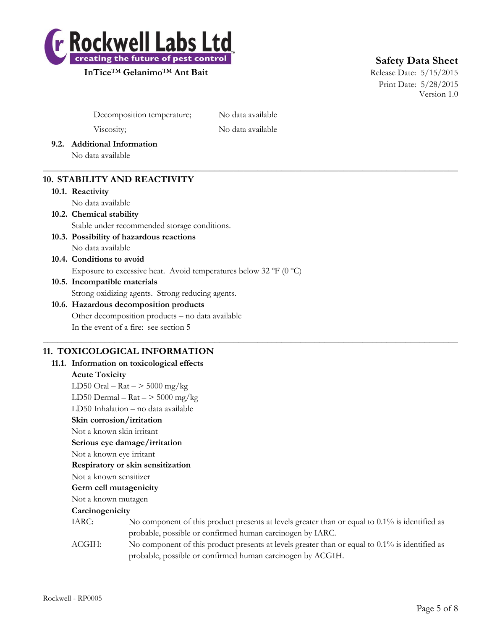

**InTice<sup>™</sup> Gelanimo<sup>™</sup> Ant Bait** Ant Bait Release Date: 5/15/2015

# **Safety Data Sheet**

Print Date: 5/28/2015 Version 1.0

Decomposition temperature; No data available

Viscosity; No data available

 $\_$  , and the set of the set of the set of the set of the set of the set of the set of the set of the set of the set of the set of the set of the set of the set of the set of the set of the set of the set of the set of th

- **9.2. Additional Information**
	- No data available

# **10. STABILITY AND REACTIVITY**

**10.1. Reactivity**

No data available

- **10.2. Chemical stability** Stable under recommended storage conditions.
- **10.3. Possibility of hazardous reactions** No data available
- **10.4. Conditions to avoid**

Exposure to excessive heat. Avoid temperatures below 32 ºF (0 ºC)

**10.5. Incompatible materials**

Strong oxidizing agents. Strong reducing agents.

### **10.6. Hazardous decomposition products** Other decomposition products – no data available In the event of a fire: see section 5

## $\_$  , and the set of the set of the set of the set of the set of the set of the set of the set of the set of the set of the set of the set of the set of the set of the set of the set of the set of the set of the set of th **11. TOXICOLOGICAL INFORMATION**

**11.1. Information on toxicological effects Acute Toxicity** LD50 Oral –  $\text{Rat}$  –  $>$  5000 mg/kg LD50 Dermal –  $\text{Rat}$  –  $>$  5000 mg/kg LD50 Inhalation – no data available **Skin corrosion/irritation** Not a known skin irritant **Serious eye damage/irritation** Not a known eye irritant **Respiratory or skin sensitization** Not a known sensitizer **Germ cell mutagenicity** Not a known mutagen **Carcinogenicity** IARC: No component of this product presents at levels greater than or equal to 0.1% is identified as probable, possible or confirmed human carcinogen by IARC. ACGIH: No component of this product presents at levels greater than or equal to 0.1% is identified as probable, possible or confirmed human carcinogen by ACGIH.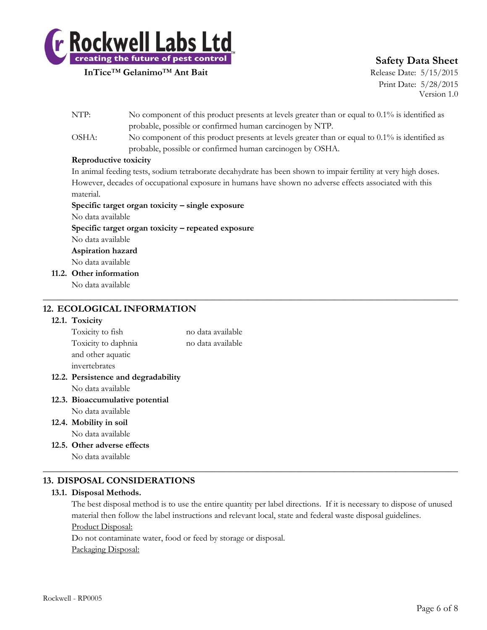

**InTice<sup>™</sup> Gelanimo<sup>™</sup> Ant Bait** Release Date: 5/15/2015

# **Safety Data Sheet**

Print Date: 5/28/2015 Version 1.0

| NTP:                        | No component of this product presents at levels greater than or equal to $0.1\%$ is identified as              |
|-----------------------------|----------------------------------------------------------------------------------------------------------------|
|                             | probable, possible or confirmed human carcinogen by NTP.                                                       |
| OSHA:                       | No component of this product presents at levels greater than or equal to $0.1\%$ is identified as              |
|                             | probable, possible or confirmed human carcinogen by OSHA.                                                      |
|                             | Reproductive toxicity                                                                                          |
|                             | In animal feeding tests, sodium tetraborate decahydrate has been shown to impair fertility at very high doses. |
|                             | However, decades of occupational exposure in humans have shown no adverse effects associated with this         |
| material.                   |                                                                                                                |
|                             | Specific target organ toxicity - single exposure                                                               |
| No data available           |                                                                                                                |
|                             | Specific target organ toxicity – repeated exposure                                                             |
| No data available           |                                                                                                                |
| A continuation to construct |                                                                                                                |

 $\_$  , and the set of the set of the set of the set of the set of the set of the set of the set of the set of the set of the set of the set of the set of the set of the set of the set of the set of the set of the set of th

**Aspiration hazard**

No data available

**11.2. Other information** No data available

# **12. ECOLOGICAL INFORMATION**

### **12.1. Toxicity**

| Toxicity to fish                    | no data available |
|-------------------------------------|-------------------|
| Toxicity to daphnia                 | no data available |
| and other aquatic                   |                   |
| invertebrates                       |                   |
| 12.2. Persistence and degradability |                   |
| No data available                   |                   |
| 12.3. Bioaccumulative potential     |                   |
| No data available                   |                   |
| 12.4. Mobility in soil              |                   |

- No data available
- **12.5. Other adverse effects**

No data available

# **13. DISPOSAL CONSIDERATIONS**

### **13.1. Disposal Methods.**

The best disposal method is to use the entire quantity per label directions. If it is necessary to dispose of unused material then follow the label instructions and relevant local, state and federal waste disposal guidelines. Product Disposal:

 $\_$  , and the set of the set of the set of the set of the set of the set of the set of the set of the set of the set of the set of the set of the set of the set of the set of the set of the set of the set of the set of th

Do not contaminate water, food or feed by storage or disposal. Packaging Disposal: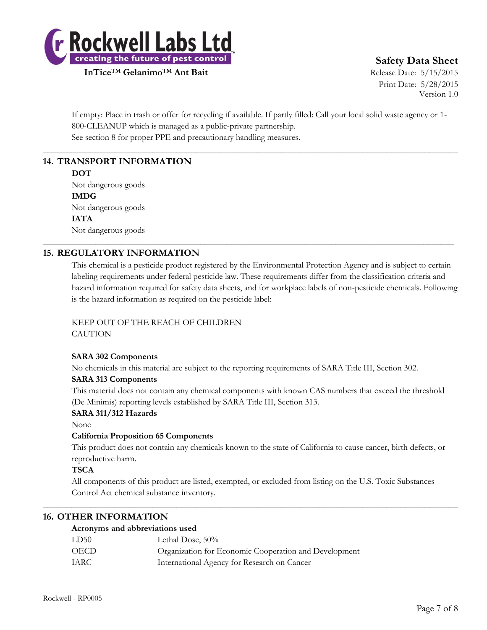

**InTice<sup>™</sup> Gelanimo<sup>™</sup> Ant Bait** Ant Bait Release Date: 5/15/2015

# **Safety Data Sheet**

Print Date: 5/28/2015 Version 1.0

If empty: Place in trash or offer for recycling if available. If partly filled: Call your local solid waste agency or 1- 800-CLEANUP which is managed as a public-private partnership. See section 8 for proper PPE and precautionary handling measures.

 $\_$  , and the set of the set of the set of the set of the set of the set of the set of the set of the set of the set of the set of the set of the set of the set of the set of the set of the set of the set of the set of th

\_\_\_\_\_\_\_\_\_\_\_\_\_\_\_\_\_\_\_\_\_\_\_\_\_\_\_\_\_\_\_\_\_\_\_\_\_\_\_\_\_\_\_\_\_\_\_\_\_\_\_\_\_\_\_\_\_\_\_\_\_\_\_\_\_\_\_\_\_\_\_\_\_\_\_\_\_\_\_\_\_\_\_\_\_\_\_\_\_\_\_\_\_\_

# **14. TRANSPORT INFORMATION**

#### **DOT**

Not dangerous goods **IMDG** Not dangerous goods **IATA** Not dangerous goods

# **15. REGULATORY INFORMATION**

This chemical is a pesticide product registered by the Environmental Protection Agency and is subject to certain labeling requirements under federal pesticide law. These requirements differ from the classification criteria and hazard information required for safety data sheets, and for workplace labels of non-pesticide chemicals. Following is the hazard information as required on the pesticide label:

# KEEP OUT OF THE REACH OF CHILDREN

**CAUTION** 

### **SARA 302 Components**

No chemicals in this material are subject to the reporting requirements of SARA Title III, Section 302.

### **SARA 313 Components**

This material does not contain any chemical components with known CAS numbers that exceed the threshold (De Minimis) reporting levels established by SARA Title III, Section 313.

### **SARA 311/312 Hazards**

None

# **California Proposition 65 Components**

This product does not contain any chemicals known to the state of California to cause cancer, birth defects, or reproductive harm.

### **TSCA**

All components of this product are listed, exempted, or excluded from listing on the U.S. Toxic Substances Control Act chemical substance inventory.

 $\_$  , and the set of the set of the set of the set of the set of the set of the set of the set of the set of the set of the set of the set of the set of the set of the set of the set of the set of the set of the set of th

## **16. OTHER INFORMATION**

### **Acronyms and abbreviations used**

| LD50 | Lethal Dose, 50%                                      |
|------|-------------------------------------------------------|
| OECD | Organization for Economic Cooperation and Development |
| IARC | International Agency for Research on Cancer           |
|      |                                                       |